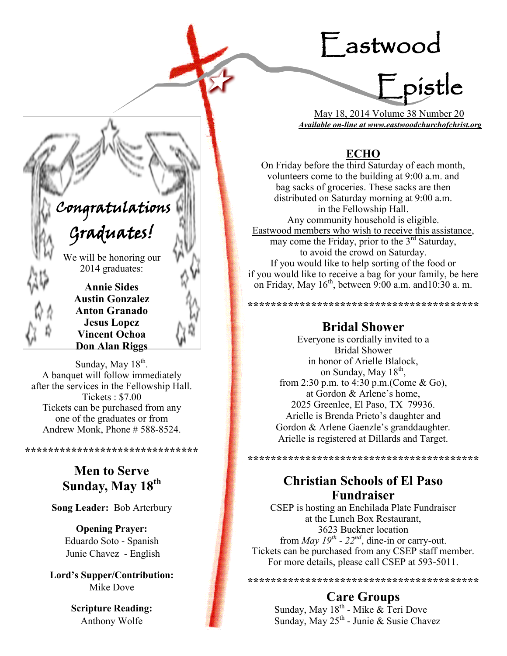# Eastwood



 May 18, 2014 Volume 38 Number 20 *Available on-line at www.eastwoodchurchofchrist.org*

# **ECHO**

On Friday before the third Saturday of each month, volunteers come to the building at 9:00 a.m. and bag sacks of groceries. These sacks are then distributed on Saturday morning at 9:00 a.m. in the Fellowship Hall. Any community household is eligible. Eastwood members who wish to receive this assistance, may come the Friday, prior to the  $3<sup>rd</sup>$  Saturday, to avoid the crowd on Saturday. If you would like to help sorting of the food or if you would like to receive a bag for your family, be here on Friday, May  $16<sup>th</sup>$ , between 9:00 a.m. and 10:30 a.m.

# **Bridal Shower**

\*\*\*\*\*\*\*\*\*\*\*\*\*\*\*\*\*\*\*\*\*\*\*\*\*\*\*\*\*\*\*\*\*\*\*\*

Everyone is cordially invited to a Bridal Shower in honor of Arielle Blalock, on Sunday, May 18<sup>th</sup>, from 2:30 p.m. to 4:30 p.m.(Come & Go), at Gordon & Arlene's home, 2025 Greenlee, El Paso, TX 79936. Arielle is Brenda Prieto's daughter and Gordon & Arlene Gaenzle's granddaughter. Arielle is registered at Dillards and Target.

**\*\*\*\*\*\*\*\*\*\*\*\*\*\*\*\*\*\*\*\*\*\*\*\*\*\*\*\*\*\*\*\*\*\*\*\*\*\*\*\***

# **Christian Schools of El Paso Fundraiser**

CSEP is hosting an Enchilada Plate Fundraiser at the Lunch Box Restaurant, 3623 Buckner location from *May 19<sup>th</sup>* - 22<sup>nd</sup>, dine-in or carry-out. Tickets can be purchased from any CSEP staff member. For more details, please call CSEP at 593-5011.

**\*\*\*\*\*\*\*\*\*\*\*\*\*\*\*\*\*\*\*\*\*\*\*\*\*\*\*\*\*\*\*\*\*\*\*\*\*\*\*\***

# **Care Groups**

Sunday, May 18<sup>th</sup> - Mike & Teri Dove Sunday, May 25<sup>th</sup> - Junie & Susie Chavez

# Congratulations

# Graduates!

í l

١

We will be honoring our 2014 graduates:

> **Annie Sides Austin Gonzalez Anton Granado Jesus Lopez Vincent Ochoa Don Alan Riggs**

Sunday, May  $18<sup>th</sup>$ . A banquet will follow immediately after the services in the Fellowship Hall. Tickets : \$7.00 Tickets can be purchased from any one of the graduates or from Andrew Monk, Phone # 588-8524.

> **Men to Serve Sunday, May 18th**

**\*\*\*\*\*\*\*\*\*\*\*\*\*\*\*\*\*\*\*\*\*\*\*\*\*\*\*\*\*\***

**Song Leader:** Bob Arterbury

**Opening Prayer:** Eduardo Soto - Spanish Junie Chavez - English

**Lord's Supper/Contribution:**  Mike Dove

> **Scripture Reading:**  Anthony Wolfe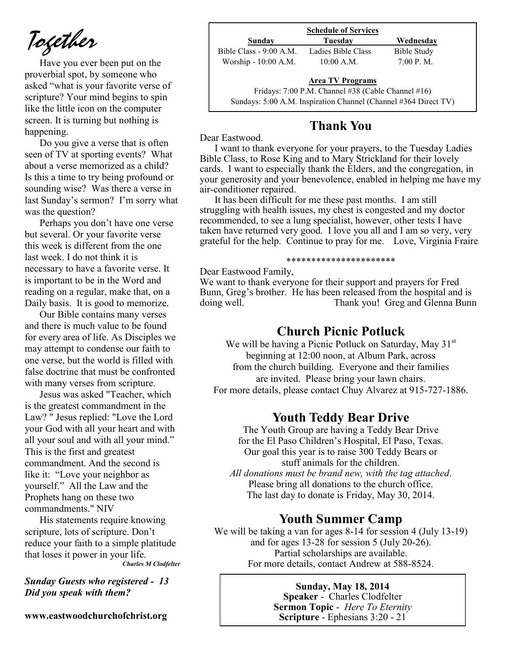*Together*

Have you ever been put on the proverbial spot, by someone who asked "what is your favorite verse of scripture? Your mind begins to spin like the little icon on the computer screen. It is turning but nothing is happening.

Do you give a verse that is often seen of TV at sporting events? What about a verse memorized as a child? Is this a time to try being profound or sounding wise? Was there a verse in last Sunday's sermon? I'm sorry what was the question?

Perhaps you don't have one verse but several. Or your favorite verse this week is different from the one last week. I do not think it is necessary to have a favorite verse. It is important to be in the Word and reading on a regular, make that, on a Daily basis. It is good to memorize.

Our Bible contains many verses and there is much value to be found for every area of life. As Disciples we may attempt to condense our faith to one verse, but the world is filled with false doctrine that must be confronted with many verses from scripture.

Jesus was asked "Teacher, which is the greatest commandment in the Law? " Jesus replied: "Love the Lord your God with all your heart and with all your soul and with all your mind." This is the first and greatest commandment. And the second is like it: "Love your neighbor as yourself." All the Law and the Prophets hang on these two commandments." NIV

His statements require knowing scripture, lots of scripture. Don't reduce your faith to a simple platitude that loses it power in your life.

*Charles M Clodfelter*

*Sunday Guests who registered - 13 Did you speak with them?*

**www.eastwoodchurchofchrist.org**

| <b>Schedule of Services</b> |                                                    |             |  |
|-----------------------------|----------------------------------------------------|-------------|--|
| Sunday                      | Tuesdav                                            | Wednesday   |  |
| Bible Class - 9:00 A.M.     | Ladies Bible Class                                 | Bible Study |  |
| Worship - 10:00 A.M.        | $10:00$ A.M.                                       | 7:00 P. M.  |  |
|                             | <b>Area TV Programs</b>                            |             |  |
|                             | Fridays: 7:00 P.M. Channel #38 (Cable Channel #16) |             |  |

Sundays: 5:00 A.M. Inspiration Channel (Channel #364 Direct TV)

# **Thank You**

Dear Eastwood.

I want to thank everyone for your prayers, to the Tuesday Ladies Bible Class, to Rose King and to Mary Strickland for their lovely cards. I want to especially thank the Elders, and the congregation, in your generosity and your benevolence, enabled in helping me have my air-conditioner repaired.

It has been difficult for me these past months. I am still struggling with health issues, my chest is congested and my doctor recommended, to see a lung specialist, however, other tests I have taken have returned very good. I love you all and I am so very, very grateful for the help. Continue to pray for me. Love, Virginia Fraire

#### \*\*\*\*\*\*\*\*\*\*\*\*\*\*\*\*\*\*\*\*\*\*

Dear Eastwood Family,

We want to thank everyone for their support and prayers for Fred Bunn, Greg's brother. He has been released from the hospital and is doing well. Thank you! Greg and Glenna Bunn

### **Church Picnic Potluck**

We will be having a Picnic Potluck on Saturday, May  $31<sup>st</sup>$ beginning at 12:00 noon, at Album Park, across from the church building. Everyone and their families are invited. Please bring your lawn chairs. For more details, please contact Chuy Alvarez at 915-727-1886.

## **Youth Teddy Bear Drive**

The Youth Group are having a Teddy Bear Drive for the El Paso Children's Hospital, El Paso, Texas. Our goal this year is to raise 300 Teddy Bears or stuff animals for the children. *All donations must be brand new, with the tag attached*. Please bring all donations to the church office. The last day to donate is Friday, May 30, 2014.

## **Youth Summer Camp**

We will be taking a van for ages 8-14 for session 4 (July 13-19) and for ages 13-28 for session 5 (July 20-26). Partial scholarships are available. For more details, contact Andrew at 588-8524.

#### **Sunday, May 18, 2014**

**Speaker** - Charles Clodfelter **Sermon Topic** - *Here To Eternity*  **Scripture** - Ephesians 3:20 - 21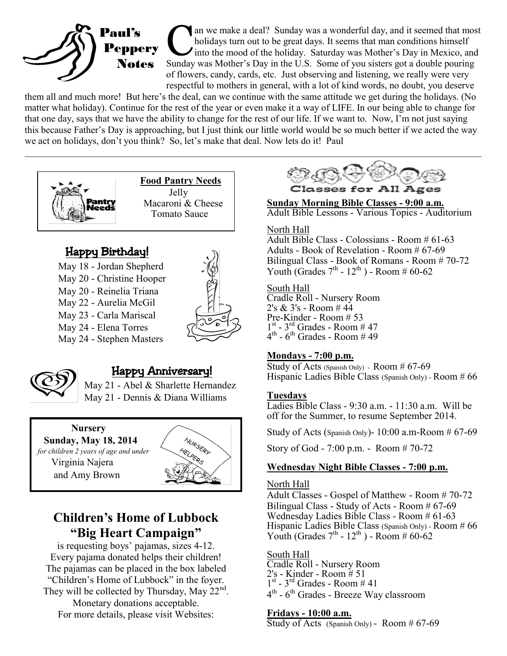

an we make a deal? Sunday was a wonderful day, and it seemed that mosholidays turn out to be great days. It seems that man conditions himself into the mood of the holiday. Saturday was Mother's Day in Mexico, and Sunday wa an we make a deal? Sunday was a wonderful day, and it seemed that most holidays turn out to be great days. It seems that man conditions himself into the mood of the holiday. Saturday was Mother's Day in Mexico, and of flowers, candy, cards, etc. Just observing and listening, we really were very respectful to mothers in general, with a lot of kind words, no doubt, you deserve

them all and much more! But here's the deal, can we continue with the same attitude we get during the holidays. (No matter what holiday). Continue for the rest of the year or even make it a way of LIFE. In our being able to change for that one day, says that we have the ability to change for the rest of our life. If we want to. Now, I'm not just saying this because Father's Day is approaching, but I just think our little world would be so much better if we acted the way we act on holidays, don't you think? So, let's make that deal. Now lets do it! Paul  $\mathcal{L}_\mathcal{L} = \{ \mathcal{L}_\mathcal{L} = \{ \mathcal{L}_\mathcal{L} = \{ \mathcal{L}_\mathcal{L} = \{ \mathcal{L}_\mathcal{L} = \{ \mathcal{L}_\mathcal{L} = \{ \mathcal{L}_\mathcal{L} = \{ \mathcal{L}_\mathcal{L} = \{ \mathcal{L}_\mathcal{L} = \{ \mathcal{L}_\mathcal{L} = \{ \mathcal{L}_\mathcal{L} = \{ \mathcal{L}_\mathcal{L} = \{ \mathcal{L}_\mathcal{L} = \{ \mathcal{L}_\mathcal{L} = \{ \mathcal{L}_\mathcal{$ 



 **Food Pantry Needs** Jelly Macaroni & Cheese Tomato Sauce

# Happy Birthday!

- May 18 Jordan Shepherd
- May 20 Christine Hooper
- May 20 Reinelia Triana
- May 22 Aurelia McGil
- May 23 Carla Mariscal
- May 24 Elena Torres May 24 - Stephen Masters





# Happy Anniversary!

May 21 - Abel & Sharlette Hernandez May 21 - Dennis & Diana Williams

 **Nursery Sunday, May 18, 2014**   *for children 2 years of age and under*  Virginia Najera and Amy Brown



# **Children's Home of Lubbock "Big Heart Campaign"**

is requesting boys' pajamas, sizes 4-12. Every pajama donated helps their children! The pajamas can be placed in the box labeled "Children's Home of Lubbock" in the foyer. They will be collected by Thursday, May  $22<sup>nd</sup>$ . Monetary donations acceptable.

For more details, please visit Websites:



**Sunday Morning Bible Classes - 9:00 a.m.** Adult Bible Lessons - Various Topics - Auditorium

#### North Hall

Adult Bible Class - Colossians - Room # 61-63 Adults - Book of Revelation - Room # 67-69 Bilingual Class - Book of Romans - Room # 70-72 Youth (Grades  $7^{th}$  -  $12^{th}$ ) - Room # 60-62

#### South Hall

Cradle Roll - Nursery Room 2's & 3's - Room # 44 Pre-Kinder - Room # 53  $1<sup>st</sup> - 3<sup>rd</sup>$  Grades - Room # 47  $4^{\text{th}}$  -  $6^{\text{th}}$  Grades - Room # 49

#### **Mondays - 7:00 p.m.**

Study of Acts (Spanish Only) - Room # 67-69 Hispanic Ladies Bible Class (Spanish Only) - Room # 66

#### **Tuesdays**

Ladies Bible Class - 9:30 a.m. - 11:30 a.m. Will be off for the Summer, to resume September 2014.

Study of Acts (Spanish Only)- 10:00 a.m-Room # 67-69

Story of God - 7:00 p.m. - Room # 70-72

### **Wednesday Night Bible Classes - 7:00 p.m.**

#### North Hall

Adult Classes - Gospel of Matthew - Room # 70-72 Bilingual Class - Study of Acts - Room # 67-69 Wednesday Ladies Bible Class - Room # 61-63 Hispanic Ladies Bible Class (Spanish Only) - Room # 66 Youth (Grades  $7<sup>th</sup> - 12<sup>th</sup>$ ) - Room # 60-62

#### South Hall

Cradle Roll - Nursery Room 2's - Kinder - Room # 51  $1<sup>st</sup> - 3<sup>rd</sup>$  Grades - Room # 41 4<sup>th</sup> - 6<sup>th</sup> Grades - Breeze Way classroom

#### **Fridays - 10:00 a.m.**

Study of Acts (Spanish Only) - Room # 67-69